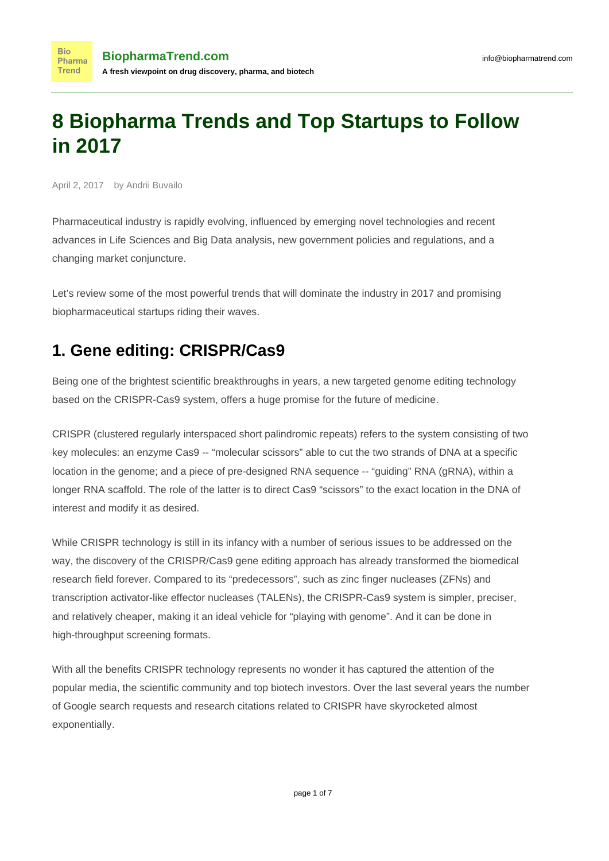# **8 Biopharma Trends and Top Startups to Follow in 2017**

April 2, 2017 by Andrii Buvailo

**Bio** Pharma Trend

Pharmaceutical industry is rapidly evolving, influenced by emerging novel technologies and recent advances in Life Sciences and Big Data analysis, new government policies and regulations, and a changing market conjuncture.

Let's review some of the most powerful trends that will dominate the industry in 2017 and promising biopharmaceutical startups riding their waves.

#### **1. Gene editing: CRISPR/Cas9**

Being one of the brightest scientific breakthroughs in years, a new targeted genome editing technology based on the CRISPR-Cas9 system, offers a huge promise for the future of medicine.

CRISPR (clustered regularly interspaced short palindromic repeats) refers to the system consisting of two key molecules: an enzyme Cas9 -- "molecular scissors" able to cut the two strands of DNA at a specific location in the genome; and a piece of pre-designed RNA sequence -- "guiding" RNA (gRNA), within a longer RNA scaffold. The role of the latter is to direct Cas9 "scissors" to the exact location in the DNA of interest and modify it as desired.

While CRISPR technology is still in its infancy with a number of serious [issues](http://www.sciencemag.org/news/2016/05/gene-editor-crispr-won-t-fully-fix-sick-people-anytime-soon-here-s-why) to be addressed on the way, the discovery of the CRISPR/Cas9 gene editing approach has already transformed the biomedical research field forever. Compared to its "predecessors", such as [zinc finger nucleases](https://en.wikipedia.org/wiki/Zinc_finger_nuclease) (ZFNs) and [transcription activator-like effector nucleases](https://en.wikipedia.org/wiki/Transcription_activator-like_effector_nuclease) (TALENs), the CRISPR-Cas9 system is simpler, preciser, and relatively cheaper, making it an ideal vehicle for "playing with genome". And it can be done in high-throughput screening formats.

With all the benefits CRISPR technology represents no wonder it has captured the attention of the popular media, the scientific community and top biotech investors. Over the last several years the number of Google search requests and research citations related to CRISPR have [skyrocketed almost](https://www.forbes.com/sites/brucebooth/2016/05/31/riding-the-gene-editing-wave-reflections-on-crisprs-impressive-trajectory/#4bbf92636f9f) [exponentially](https://www.forbes.com/sites/brucebooth/2016/05/31/riding-the-gene-editing-wave-reflections-on-crisprs-impressive-trajectory/#4bbf92636f9f).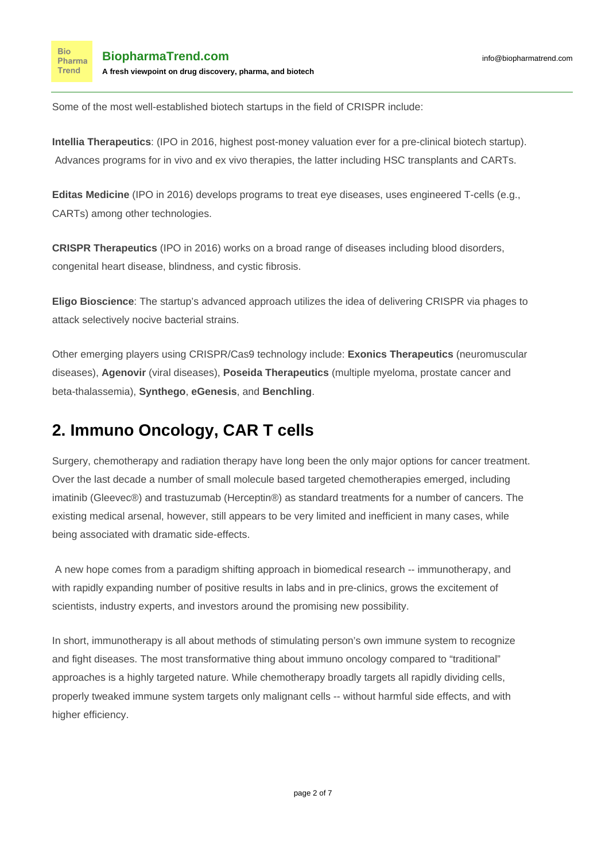**Bio** Pharma Trend

Some of the most well-established biotech startups in the field of CRISPR include:

**Intellia Therapeutics**: (IPO in 2016, highest post-money valuation ever for a pre-clinical biotech startup). Advances programs for in vivo and ex vivo therapies, the latter including HSC transplants and CARTs.

**Editas Medicine** (IPO in 2016) develops programs to treat eye diseases, uses engineered T-cells (e.g., CARTs) among other technologies.

**CRISPR Therapeutics** (IPO in 2016) works on a broad range of diseases including blood disorders, congenital heart disease, blindness, and cystic fibrosis.

**Eligo Bioscience**: The startup's advanced approach utilizes the idea of delivering CRISPR via phages to attack selectively nocive bacterial strains.

Other emerging players using CRISPR/Cas9 technology include: **Exonics Therapeutics** (neuromuscular diseases), **Agenovir** (viral diseases), **Poseida Therapeutics** (multiple myeloma, prostate cancer and beta-thalassemia), **Synthego**, **eGenesis**, and **Benchling**.

#### **2. Immuno Oncology, CAR T cells**

Surgery, chemotherapy and radiation therapy have long been the only major options for cancer treatment. Over the last decade a number of small molecule based targeted chemotherapies emerged, including [imatinib](https://www.cancer.gov/about-cancer/treatment/drugs/imatinibmesylate) (Gleevec®) an[d trastuzumab](https://www.cancer.gov/about-cancer/treatment/drugs/trastuzumab) (Herceptin®) as standard treatments for a number of cancers. The existing medical arsenal, however, still appears to be very limited and inefficient in many cases, while being associated with dramatic side-effects.

A new hope comes from a paradigm shifting approach in biomedical research -- immunotherapy, and with rapidly expanding number of positive results in labs and in pre-clinics, grows the excitement of scientists, industry experts, and investors around the promising new possibility.

In short, immunotherapy is all about methods of stimulating person's own immune system to recognize and fight diseases. The most transformative thing about immuno oncology compared to "traditional" approaches is a highly targeted nature. While chemotherapy broadly targets all rapidly dividing cells, properly tweaked immune system targets only malignant cells -- without harmful side effects, and with higher efficiency.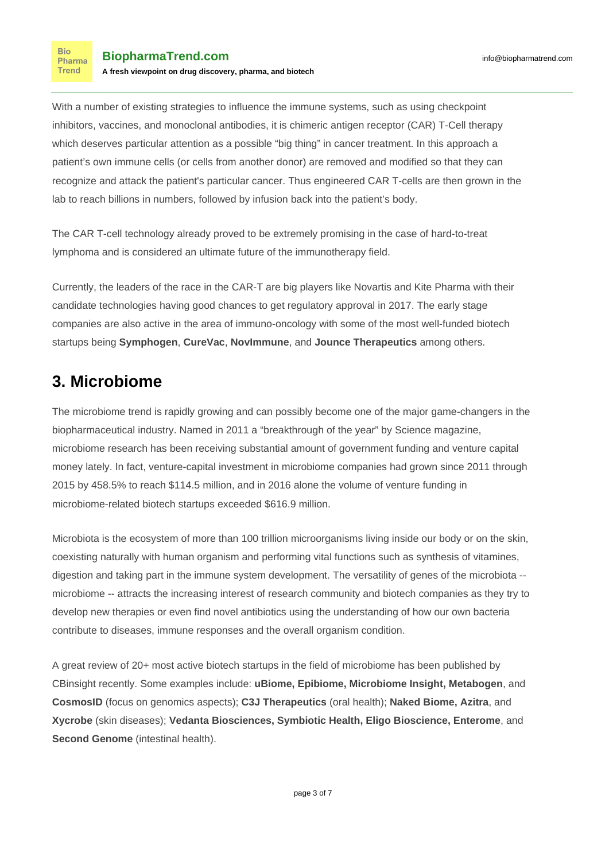With a number of existing strategies to influence the immune systems, such as using checkpoint inhibitors, vaccines, and monoclonal antibodies, it is chimeric antigen receptor (CAR) T-Cell therapy which deserves particular attention as a possible "big thing" in cancer treatment. In this approach a patient's own immune cells (or cells from another donor) are removed and modified so that they can recognize and attack the patient's particular cancer. Thus engineered CAR T-cells are then grown in the lab to reach billions in numbers, followed by infusion back into the patient's body.

The CAR T-cell technology already proved to be extremely promising in the case of [hard-to-treat](http://www.hematology.org/Newsroom/Press-Releases/2016/6950.aspx) [lymphoma](http://www.hematology.org/Newsroom/Press-Releases/2016/6950.aspx) and is considered an [ultimate future](http://www.ajmc.com/journals/evidence-based-oncology/2017/february-2017/car-t-cells-the-next-era-in-immuno-oncology-) of the immunotherapy field.

Currently, the leaders of the race in the CAR-T are big players like Novartis and Kite Pharma with their candidate technologies [having good chances to get regulatory approval](http://www.fiercebiotech.com/biotech/2017-shaping-up-to-be-pivotal-year-for-car-t-and-crispr-therapies) in 2017. The early stage companies are also active in the area of immuno-oncology with some of the [most well-funded biotech](https://www.cbinsights.com/blog/cancer-immunotherapy-startups-funding-deals/) [startups](https://www.cbinsights.com/blog/cancer-immunotherapy-startups-funding-deals/) being **Symphogen**, **CureVac**, **NovImmune**, and **Jounce Therapeutics** among others.

#### **3. Microbiome**

**Bio** Pharma Trend

The microbiome trend is rapidly growing and can possibly become one of the major game-changers in the biopharmaceutical industry. Named in 2011 a "breakthrough of the year" by Science magazine, microbiome research has been receiving substantial amount of [government funding](http://www.fiercebiotech.com/biotech/white-house-launches-121m-plus-microbiome-research-initiative) and [venture capital](https://www.wsj.com/articles/microbiome-companies-attract-big-investments-1474250460) [money](https://www.wsj.com/articles/microbiome-companies-attract-big-investments-1474250460) lately. In fact, venture-capital investment in microbiome companies [had grown](https://www.wsj.com/articles/microbiome-companies-attract-big-investments-1474250460) since 2011 through 2015 by 458.5% to reach \$114.5 million, and in 2016 alone the volume of venture funding in microbiome-related biotech startups exceeded \$616.9 million.

Microbiota is the ecosystem of more than 100 trillion microorganisms living inside our body or on the skin, coexisting naturally with human organism and performing vital functions such as synthesis of vitamines, digestion and taking part in the immune system development. The versatility of genes of the microbiota - microbiome -- attracts the increasing interest of research community and biotech companies as they try to develop new therapies or even [find novel antibiotics](http://www.biopharmatrend.com/post/23-learning-from-nature-new-antibiotics-found-in-our-body/) using the understanding of how our own bacteria contribute to diseases, immune responses and the overall organism condition.

A great review of 20+ most active [biotech startups](https://www.cbinsights.com/blog/microbiome-startups-market-map-company-list/) in the field of microbiome has been published by CBinsight recently. Some examples include: **uBiome, Epibiome, Microbiome Insight, Metabogen**, and **CosmosID** (focus on genomics aspects); **C3J Therapeutics** (oral health); **Naked Biome, Azitra**, and **Xycrobe** (skin diseases); **Vedanta Biosciences, Symbiotic Health, Eligo Bioscience, Enterome**, and **Second Genome** (intestinal health).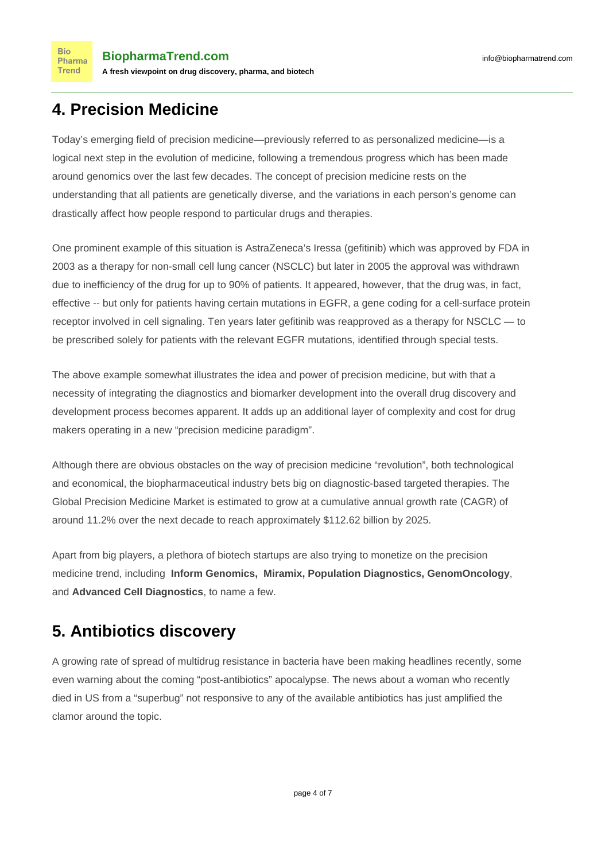#### **4. Precision Medicine**

**Bio** Pharma Trend

Today's emerging field of precision medicine—previously referred to as personalized medicine—is a logical next step in the evolution of medicine, following a tremendous progress which has been made around genomics over the last few decades. The concept of precision medicine rests on the understanding that all patients are genetically diverse, and the variations in each person's genome can drastically affect how people respond to particular drugs and therapies.

One prominent example of this situation is AstraZeneca's Iressa (gefitinib) which was approved by FDA in 2003 as a therapy for non-small cell lung cancer (NSCLC) but later in 2005 the approval was withdrawn due to inefficiency of the drug for up to 90% of patients. It appeared, however, that the drug was, in fact, effective -- but only for patients having certain mutations in EGFR, a gene coding for a cell-surface protein receptor involved in cell signaling. Ten years later gefitinib was [reapproved](http://www.fda.gov/NewsEvents/Newsroom/PressAnnouncements/ucm454678.htm) as a therapy for NSCLC — to be prescribed solely for patients with the relevant EGFR mutations, identified through special tests.

The above example somewhat illustrates the idea and power of precision medicine, but with that a necessity of integrating the diagnostics and biomarker development into the overall drug discovery and development process becomes apparent. It adds up an additional layer of complexity and cost for drug makers operating in a new "precision medicine paradigm".

Although there are obvious obstacles on the way of precision medicine "revolution", both [technological](http://www.the-scientist.com/?articles.view/articleNo/48070/title/Pharma-Cooperates-to-Achieve-Precision-Medicine/&utm_campaign=NEWSLETTER_TS_The-Scientist-Daily_2016&utm_source=hs_email&utm_medium=email&utm_content=42770270&_hsenc=p2ANqtz-8vUIblf7DsAtM-bza8oY5lSjXebmug9e2APQSawU5ZHrO_7_GPvoG7q-eDI9O5Hm6CY8ga-A5C2TxaAzUU3P4PGN30uQ&_hsmi=42770270/#.WKXA7Ij1-H4.linkedin) [and economical](http://www.the-scientist.com/?articles.view/articleNo/48070/title/Pharma-Cooperates-to-Achieve-Precision-Medicine/&utm_campaign=NEWSLETTER_TS_The-Scientist-Daily_2016&utm_source=hs_email&utm_medium=email&utm_content=42770270&_hsenc=p2ANqtz-8vUIblf7DsAtM-bza8oY5lSjXebmug9e2APQSawU5ZHrO_7_GPvoG7q-eDI9O5Hm6CY8ga-A5C2TxaAzUU3P4PGN30uQ&_hsmi=42770270/#.WKXA7Ij1-H4.linkedin), the biopharmaceutical industry [bets big](https://www.forbes.com/sites/reenitadas/2017/03/08/drug-development-industry-bets-big-on-precision-medicine-5-top-trends-shaping-future-care-delivery/2/#66aebacd7b33) on diagnostic-based targeted therapies. The Global Precision Medicine Market is estimated to grow at a cumulative annual growth rate (CAGR) of around 11.2% over the next decade to [reach approximately \\$112.62 billion by 2025.](https://globenewswire.com/news-release/2017/01/19/909403/0/en/112-62-Billion-Precision-Medicine-Market-Analysis-Trends-2016-Therapeutics-Applications-Forecasts-to-2025.html)

Apart from big players, [a plethora of biotech startups](http://www.healthworkscollective.com/eborukhovich/328623/tech-and-precision-medicine-29-companies-who-will-lead-charge) are also trying to monetize on the precision medicine trend, including **Inform Genomics, Miramix, Population Diagnostics, GenomOncology**, and **Advanced Cell Diagnostics**, to name a few.

## **5. Antibiotics discovery**

A growing rate of spread of multidrug resistance in bacteria have been making headlines recently, some even warning about the coming "post-antibiotics" apocalypse. The news about a [woman who recently](https://www.dailydisruption.com/superbug-developed-resistance-26-antibiotic-kills-woman-nevada/3450) [died in US](https://www.dailydisruption.com/superbug-developed-resistance-26-antibiotic-kills-woman-nevada/3450) from a "superbug" not responsive to any of the available antibiotics has just amplified the clamor around the topic.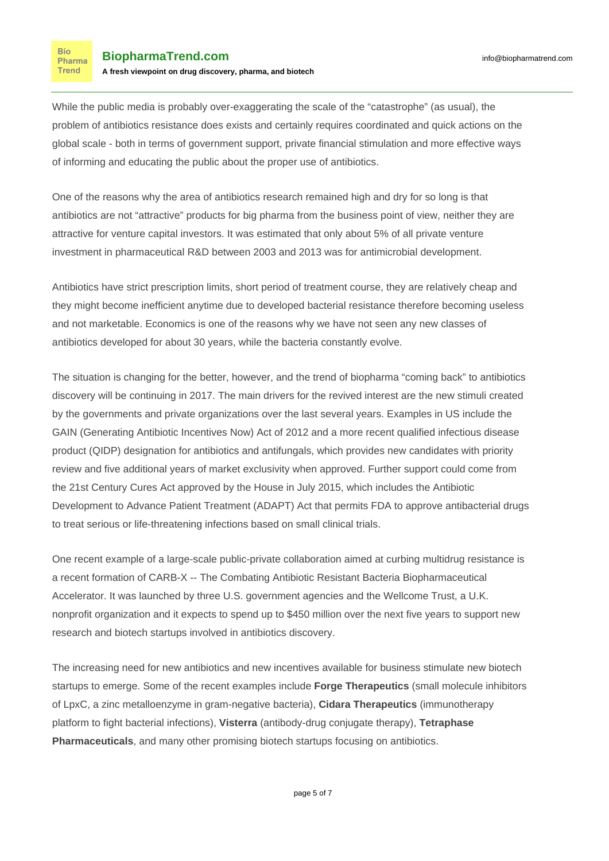**Bio** Pharma Trend

While the public media is probably [over-exaggerating](http://theconversation.com/its-the-age-of-the-antibiotic-revolution-not-apocalypse-73476) the scale of the "catastrophe" (as usual), the problem of [antibiotics resistance does exists](http://www.biopharmatrend.com/post/22-the-time-for-breakthroughs-in-antibiotics/#comments) and certainly requires coordinated and quick actions on the global scale - both in terms of government support, private financial stimulation and more effective ways of informing and educating the public about the proper use of antibiotics.

One of the reasons why the area of antibiotics research remained high and dry for so long is that antibiotics are not "attractive" products for big pharma from the business point of view, neither they are attractive for venture capital investors. It was [estimated](https://amr-review.org/sites/default/files/160518_Final%20paper_with%20cover.pdf) that only about 5% of all private venture investment in pharmaceutical R&D between 2003 and 2013 was for antimicrobial development.

Antibiotics have strict prescription limits, short period of treatment course, they are relatively cheap and they might become inefficient anytime due to developed bacterial resistance therefore becoming useless and not marketable. Economics is one of the reasons why we have not seen any new classes of antibiotics developed for about 30 years, while the bacteria constantly evolve.

The situation is changing for the better, however, and the trend of biopharma "coming back" to antibiotics discovery will be continuing in 2017. The main drivers for the revived interest are the new stimuli created by the governments and private organizations over the last several years. [Examples](http://www.pharmexec.com/accelerating-drive-new-antibiotics-0) in US include the GAIN (Generating Antibiotic Incentives Now) Act of 2012 and a more recent qualified infectious disease product (QIDP) designation for antibiotics and antifungals, which provides new candidates with priority review and five additional years of market exclusivity when approved. Further support could come from the 21st Century Cures Act approved by the House in July 2015, which includes the Antibiotic Development to Advance Patient Treatment (ADAPT) Act that permits FDA to approve antibacterial drugs to treat serious or life-threatening infections based on small clinical trials.

One recent example of a [large-scale public-private collaboration](http://cen.acs.org/articles/95/i14/Partnership-funds-first-cohort-antibiotics.html) aimed at curbing multidrug resistance is a recent formation of CARB-X -- The Combating Antibiotic Resistant Bacteria Biopharmaceutical Accelerator. It was launched by three U.S. government agencies and the Wellcome Trust, a U.K. nonprofit organization and it expects to spend up to \$450 million over the next five years to support new research and biotech startups involved in antibiotics discovery.

The increasing need for new antibiotics and new incentives available for business stimulate new biotech startups to emerge. Some of the recent examples include **Forge Therapeutics** (small molecule inhibitors of LpxC, a zinc metalloenzyme in gram-negative bacteria), **Cidara Therapeutics** (immunotherapy platform to fight bacterial infections), **Visterra** (antibody-drug conjugate therapy), **Tetraphase Pharmaceuticals**, and many other promising [biotech startups focusing on antibiotics](http://www.biopharmatrend.com/post/22-the-time-for-breakthroughs-in-antibiotics/#comments).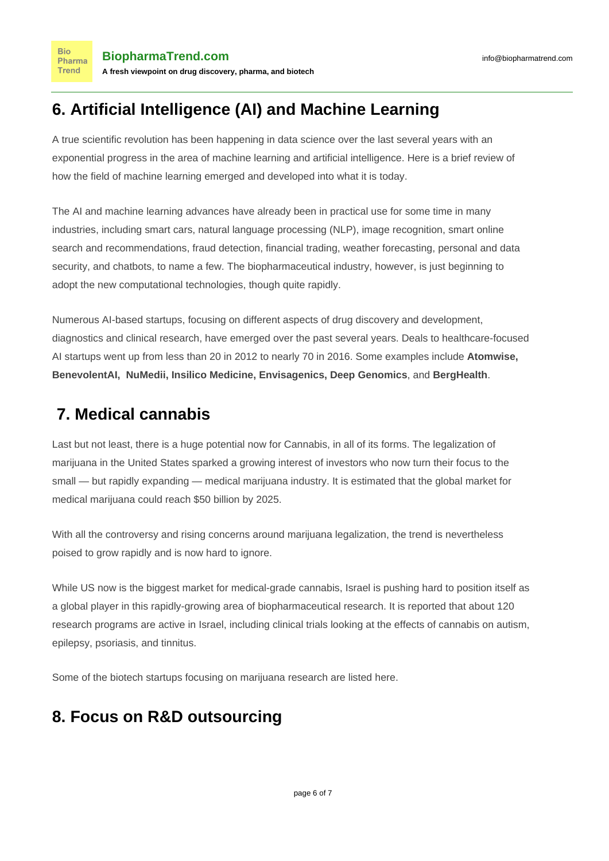**Bio** 

Trend

## **6. Artificial Intelligence (AI) and Machine Learning**

A true scientific revolution has been happening in data science over the last several years with an [exponential progress](https://singularityhub.com/2016/02/15/where-artificial-intelligence-is-now-and-whats-just-around-the-corner/) in the area of machine learning and artificial intelligence. Here is a brief review of how the field of [machine learning emerged and developed i](https://www.forbes.com/sites/bernardmarr/2016/02/19/a-short-history-of-machine-learning-every-manager-should-read/#4361c7c915e7)nto what it is today.

The AI and machine learning advances have already been in practical use for some time in many industries, including smart cars, natural language processing (NLP), image recognition, smart online search and recommendations, fraud detection, financial trading, weather forecasting, personal and data security, and chatbots, to name a few. The biopharmaceutical industry, however, is [just beginning to](http://www.biopharmatrend.com/post/24-3-ways-big-data-and-machine-learning-revolutionize-drug-discovery/) [adopt the new computational technologies,](http://www.biopharmatrend.com/post/24-3-ways-big-data-and-machine-learning-revolutionize-drug-discovery/) though quite rapidly.

[Numerous AI-based startups](http://www.biopharmatrend.com/post/20-artificial-intelligence-helps-find-new-drugs-better-faster-cheaper/), focusing on different aspects of drug discovery and development, diagnostics and clinical research, have emerged over the past several years. Deals to [healthcare-focused](https://www.cbinsights.com/blog/artificial-intelligence-startups-healthcare/) [AI startups](https://www.cbinsights.com/blog/artificial-intelligence-startups-healthcare/) went up from less than 20 in 2012 to nearly 70 in 2016. Some examples include **Atomwise, BenevolentAI, NuMedii, Insilico Medicine, Envisagenics, Deep Genomics**, and **BergHealth**.

#### **7. Medical cannabis**

Last but not least, there is a huge potential now for [Cannabis](http://investingnews.com/category/daily/resource-investing/agriculture-investing/cannabis-investing/), in all of its forms. The legalization of marijuana in the United States sparked a growing interest of investors who now turn their focus to the small — but rapidly expanding — medical marijuana industry. It is estimated that the global market for medical marijuana could reach \$50 billion by 2025.

With all the [controversy and rising concerns](http://hightimes.com/culture/marijuana-users-should-be-outraged-over-this-new-dangerous-trend/) around marijuana legalization, the trend is nevertheless poised to grow rapidly and is now hard to ignore.

While US now is the biggest market for medical-grade cannabis, [Israel is pushing hard](http://fortune.com/2017/03/23/israel-medical-marijuana-tech/) to position itself as a global player in this rapidly-growing area of biopharmaceutical research. It is reported that about 120 research programs are active in Israel, including clinical trials looking at the effects of cannabis on autism, epilepsy, psoriasis, and tinnitus.

Some of the biotech startups focusing on marijuana research are listed [here.](https://angel.co/marijuana)

# **8. Focus on R&D outsourcing**